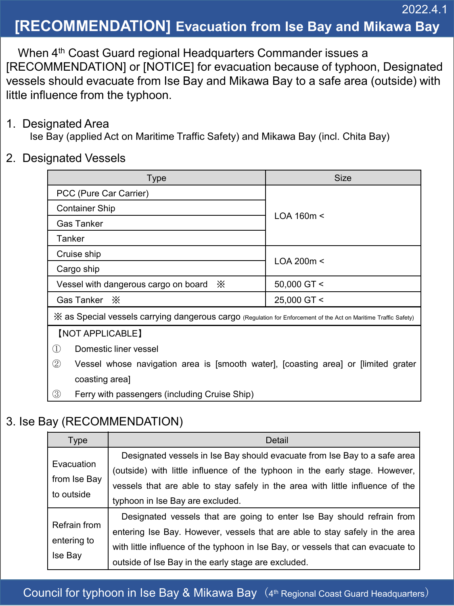# **[RECOMMENDATION] Evacuation from Ise Bay and Mikawa Bay**

2022.4.1

When 4<sup>th</sup> Coast Guard regional Headquarters Commander issues a [RECOMMENDATION] or [NOTICE] for evacuation because of typhoon, Designated vessels should evacuate from Ise Bay and Mikawa Bay to a safe area (outside) with little influence from the typhoon.

#### 1. Designated Area

Ise Bay (applied Act on Maritime Traffic Safety) and Mikawa Bay (incl. Chita Bay)

#### 2. Designated Vessels

| <b>Type</b>                                                                                                      | <b>Size</b>       |  |
|------------------------------------------------------------------------------------------------------------------|-------------------|--|
| PCC (Pure Car Carrier)                                                                                           |                   |  |
| <b>Container Ship</b>                                                                                            | $LOA$ 160m $\leq$ |  |
| Gas Tanker                                                                                                       |                   |  |
| Tanker                                                                                                           |                   |  |
| Cruise ship                                                                                                      |                   |  |
| Cargo ship                                                                                                       | LOA 200m <        |  |
| Vessel with dangerous cargo on board X                                                                           | 50,000 GT <       |  |
| Gas Tanker $\,\times\,$                                                                                          | 25,000 GT <       |  |
| X as Special vessels carrying dangerous cargo (Regulation for Enforcement of the Act on Maritime Traffic Safety) |                   |  |
| [NOT APPLICABLE]                                                                                                 |                   |  |
| Domestic liner vessel<br>(1)                                                                                     |                   |  |
| $\circled{2}$<br>Vessel whose navigation area is [smooth water], [coasting area] or [limited grater              |                   |  |
| coasting area]                                                                                                   |                   |  |
| (3)<br>Ferry with passengers (including Cruise Ship)                                                             |                   |  |

### 3. Ise Bay (RECOMMENDATION)

| <b>Type</b>                              | Detail                                                                                                                                                                                                                                                                                           |
|------------------------------------------|--------------------------------------------------------------------------------------------------------------------------------------------------------------------------------------------------------------------------------------------------------------------------------------------------|
| Evacuation<br>from Ise Bay<br>to outside | Designated vessels in Ise Bay should evacuate from Ise Bay to a safe area<br>(outside) with little influence of the typhoon in the early stage. However,<br>vessels that are able to stay safely in the area with little influence of the<br>typhoon in Ise Bay are excluded.                    |
| Refrain from<br>entering to<br>Ise Bay   | Designated vessels that are going to enter Ise Bay should refrain from<br>entering Ise Bay. However, vessels that are able to stay safely in the area<br>with little influence of the typhoon in Ise Bay, or vessels that can evacuate to<br>outside of Ise Bay in the early stage are excluded. |

Council for typhoon in Ise Bay & Mikawa Bay  $(4<sup>th</sup>$  Regional Coast Guard Headquarters)